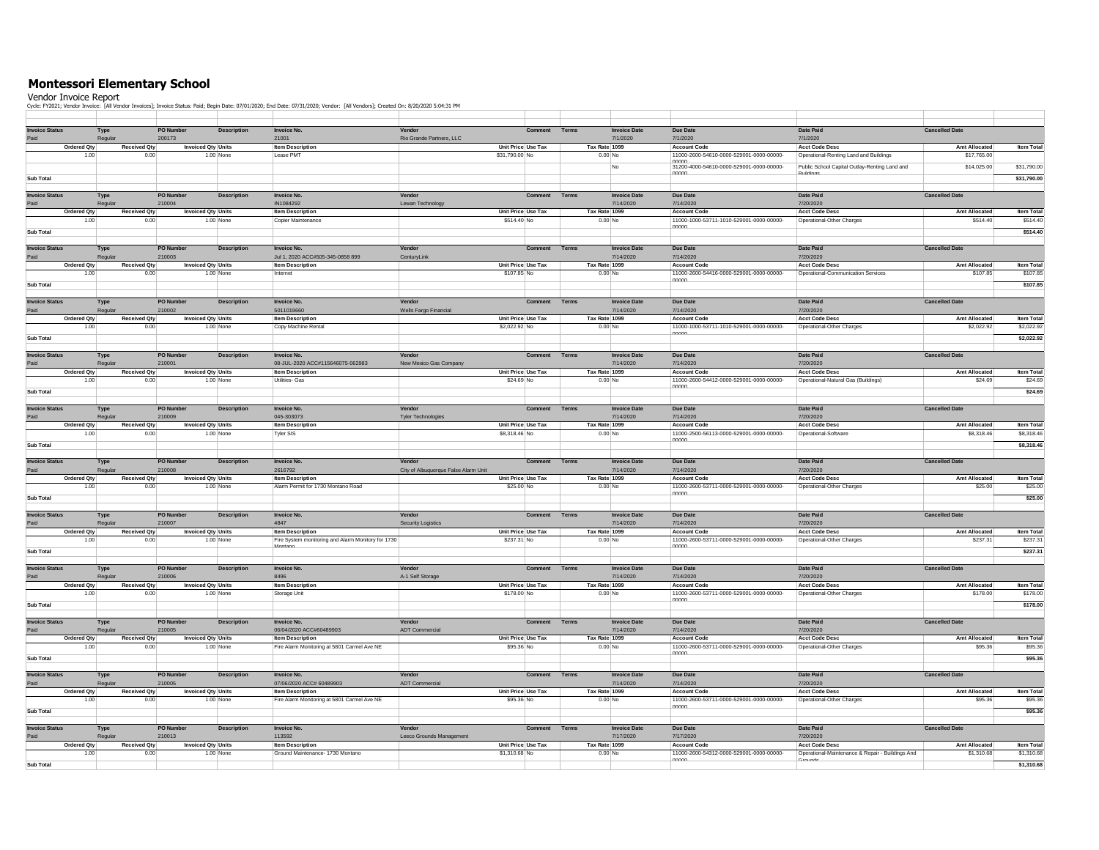## **Montessori Elementary School**

Vendor Invoice Report Cycle: FY2021; Vendor Invoice: [All Vendor Invoices]; Invoice Status: Paid; Begin Date: 07/01/2020; End Date: 07/31/2020; Vendor: [All Vendors]; Created On: 8/20/2020 5:04:31 PM

| <b>Invoice Status</b>         | Type            |                             | PO Number                           | <b>Description</b> | <b>Invoice No.</b>                                 | Vendor                                 | Comment        | Terms                    | <b>Invoice Date</b>              | Due Date                                                        | Date Paid                                                   | <b>Cancelled Date</b>              |                                 |
|-------------------------------|-----------------|-----------------------------|-------------------------------------|--------------------|----------------------------------------------------|----------------------------------------|----------------|--------------------------|----------------------------------|-----------------------------------------------------------------|-------------------------------------------------------------|------------------------------------|---------------------------------|
| Paid                          | Regular         |                             | 200173                              |                    | 21001                                              | Rio Grande Partners, LLC               |                |                          | 7/1/2020                         | 7/1/2020                                                        | 7/1/2020                                                    |                                    |                                 |
| <b>Ordered Qty</b>            |                 | <b>Received Oty</b>         | <b>Invoiced Qty Units</b>           |                    | <b>Item Description</b>                            | Unit Price Use Tax                     |                | Tax Rate 1099            |                                  | <b>Account Code</b>                                             | <b>Acct Code Desc</b>                                       | Amt Allocated                      | <b>Item Total</b>               |
| 1.00                          |                 | 0.00                        |                                     | 1.00 None          | Lease PMT                                          | \$31,790.00 No                         |                | $0.00$ No                |                                  | 11000-2600-54610-0000-529001-0000-00000-<br>nnnn                | Operational-Renting Land and Buildings                      | \$17,765.00                        |                                 |
|                               |                 |                             |                                     |                    |                                                    |                                        |                |                          | No                               | 31200-4000-54610-0000-529001-0000-00000-                        | Public School Capital Outlay-Renting Land and               | \$14,025.00                        | \$31,790.00                     |
| <b>Sub Total</b>              |                 |                             |                                     |                    |                                                    |                                        |                |                          |                                  | nnnn                                                            |                                                             |                                    | \$31,790.00                     |
|                               |                 |                             |                                     |                    |                                                    |                                        |                |                          |                                  |                                                                 |                                                             |                                    |                                 |
| <b>Invoice Status</b>         | Type            |                             | PO Numbe                            | <b>Description</b> | <b>Invoice No.</b>                                 | Vendor                                 | Comment        | Terms                    | <b>Invoice Date</b>              | Due Date                                                        | Date Paid                                                   | <b>Cancelled Date</b>              |                                 |
| Paid<br>Ordered Otv           | Regular         | Received Qty                | 210004<br><b>Invoiced Qtv Units</b> |                    | IN1084292<br><b>Item Description</b>               | Lewan Technology<br>Unit Price Use Tax |                | Tax Rate 1099            | 7/14/2020                        | 7/14/2020<br><b>Account Code</b>                                | 7/20/2020<br><b>Acct Code Desc</b>                          | Amt Allocated                      | Item Tota                       |
| 1.00                          |                 | 0.00                        |                                     | 1.00 None          | Copier Maintenance                                 | \$514.40 No                            |                | $0.00$ No                |                                  | 11000-1000-53711-1010-529001-0000-00000-                        | Operational-Other Charges                                   | \$514.40                           | \$514.40                        |
| <b>Sub Total</b>              |                 |                             |                                     |                    |                                                    |                                        |                |                          |                                  | nnnn                                                            |                                                             |                                    | \$514.40                        |
|                               |                 |                             |                                     |                    |                                                    |                                        |                |                          |                                  |                                                                 |                                                             |                                    |                                 |
| <b>Invoice Status</b>         | Type            |                             | PO Numbe                            | Description        | <b>Invoice No.</b>                                 | Vendor                                 | Comment        | Terms                    | <b>Invoice Date</b>              | Due Date                                                        | <b>Date Paid</b>                                            | <b>Cancelled Date</b>              |                                 |
| Paid                          | Regular         |                             | 210003                              |                    | Jul 1, 2020 ACC#505-345-0858 899                   | CenturyLink                            |                |                          | 7/14/2020                        | 7/14/2020                                                       | 7/20/2020                                                   |                                    |                                 |
| Ordered Otv<br>1.00           |                 | Received Qty<br>0.00        | <b>Invoiced Qtv Units</b>           | 1.00 None          | Item Description<br>Internet                       | Unit Price Use Tax<br>\$107.85 No      |                | Tax Rate 1099<br>0.00 No |                                  | <b>Account Code</b><br>11000-2600-54416-0000-529001-0000-00000- | <b>Acct Code Desc</b><br>Operational-Communication Services | Amt Allocated<br>\$107.85          | Item Tota<br>\$107.85           |
|                               |                 |                             |                                     |                    |                                                    |                                        |                |                          |                                  | nnnn                                                            |                                                             |                                    |                                 |
| <b>Sub Total</b>              |                 |                             |                                     |                    |                                                    |                                        |                |                          |                                  |                                                                 |                                                             |                                    | \$107.85                        |
| <b>Invoice Status</b>         | Type            |                             | PO Number                           | <b>Description</b> | <b>Invoice No.</b>                                 | Vendor                                 | Comment        | Terms                    | <b>Invoice Date</b>              | Due Date                                                        | Date Paid                                                   | <b>Cancelled Date</b>              |                                 |
|                               | Regula          |                             | 210002                              |                    | 5011019660                                         | Wells Fargo Financial                  |                |                          | 7/14/2020                        | 7/14/2020                                                       | 7/20/2020                                                   |                                    |                                 |
| Ordered Qty                   |                 | <b>Received Qty</b>         | <b>Invoiced Qty Units</b>           |                    | <b>Item Description</b>                            | Unit Price Use Tax                     |                | Tax Rate 1099            |                                  | Account Code                                                    | <b>Acct Code Desc</b>                                       | Amt Allocated                      | Item Tota                       |
| 1.00                          |                 | 0.00                        |                                     | 1.00 None          | Copy Machine Rental                                | \$2,022.92 No                          |                | 0.00 No                  |                                  | 11000-1000-53711-1010-529001-0000-00000-<br>nnnn                | Operational-Other Charges                                   | \$2,022.92                         | \$2,022.92                      |
| <b>Sub Total</b>              |                 |                             |                                     |                    |                                                    |                                        |                |                          |                                  |                                                                 |                                                             |                                    | \$2,022.92                      |
|                               |                 |                             |                                     |                    |                                                    |                                        |                | Terms                    |                                  |                                                                 |                                                             |                                    |                                 |
| <b>Invoice Status</b>         | Type<br>Regula  |                             | PO Number<br>210001                 | <b>Description</b> | Invoice No.<br>08-JUL-2020 ACC#115646075-062983    | Vendor<br>New Mexico Gas Company       | Comment        |                          | <b>Invoice Date</b><br>7/14/2020 | Due Date<br>7/14/2020                                           | Date Paid<br>7/20/2020                                      | <b>Cancelled Date</b>              |                                 |
| Ordered Qty                   |                 | <b>Received Qty</b>         | <b>Invoiced Qty Units</b>           |                    | <b>Item Description</b>                            | Unit Price Use Tax                     |                | Tax Rate 1099            |                                  | Account Code                                                    | <b>Acct Code Desc</b>                                       | Amt Allocated                      | Item Total                      |
| 1.00                          |                 | 0.00                        |                                     | 1.00 None          | Utilities- Gas                                     | \$24.69 No                             |                | 0.00 No                  |                                  | 11000-2600-54412-0000-529001-0000-00000-                        | Operational-Natural Gas (Buildings)                         | \$24.69                            | \$24.69                         |
| Sub Total                     |                 |                             |                                     |                    |                                                    |                                        |                |                          |                                  | nnnn                                                            |                                                             |                                    | \$24.69                         |
|                               |                 |                             |                                     |                    |                                                    |                                        |                |                          |                                  |                                                                 |                                                             |                                    |                                 |
| <b>Invoice Status</b>         | Type            |                             | PO Number                           | <b>Description</b> | <b>Invoice No.</b>                                 | Vendor                                 | Comment        | Terms                    | <b>Invoice Date</b>              | Due Date                                                        | Date Paid                                                   | <b>Cancelled Date</b>              |                                 |
| Paid                          | Regula          |                             | 210009                              |                    | 045-303073                                         | <b>Tyler Technologies</b>              |                |                          | 7/14/2020                        | 7/14/2020                                                       | 7/20/2020                                                   |                                    |                                 |
| <b>Ordered Qty</b><br>1.00    |                 | <b>Received Qty</b><br>0.00 | <b>Invoiced Qty Units</b>           | 1.00 None          | <b>Item Description</b><br>Tyler SIS               | Unit Price Use Tax<br>\$8,318,46 No    |                | Tax Rate 1099<br>0.00 No |                                  | <b>Account Code</b><br>11000-2500-56113-0000-529001-0000-00000- | <b>Acct Code Desc</b><br>Operational-Software               | <b>Amt Allocated</b><br>\$8,318.46 | <b>Item Total</b><br>\$8,318.46 |
| Sub Total                     |                 |                             |                                     |                    |                                                    |                                        |                |                          |                                  | nnnn                                                            |                                                             |                                    | \$8,318.46                      |
|                               |                 |                             |                                     |                    |                                                    |                                        |                |                          |                                  |                                                                 |                                                             |                                    |                                 |
| <b>Invoice Status</b>         | Type            |                             | PO Number                           | <b>Description</b> | <b>Invoice No.</b>                                 | Vendor                                 | Comment        | Terms                    | <b>Invoice Date</b>              | Due Date                                                        | Date Paid                                                   | <b>Cancelled Date</b>              |                                 |
| Paid                          | Regula          |                             | 210008                              |                    | 2616792                                            | City of Albuquerque False Alarm Unit   |                |                          | 7/14/2020                        | 7/14/2020                                                       | 7/20/2020                                                   |                                    |                                 |
| <b>Ordered Qty</b>            |                 | <b>Received Qty</b>         | <b>Invoiced Qty Units</b>           |                    | <b>Item Description</b>                            | Unit Price Use Tax                     |                | Tax Rate 1099            |                                  | <b>Account Code</b>                                             | <b>Acct Code Desc</b>                                       | <b>Amt Allocated</b>               | <b>Item Total</b>               |
| 1.00                          |                 | 0.00                        |                                     | 1.00 None          | Alarm Permit for 1730 Montano Road                 | \$25.00 No                             |                | 0.00 No                  |                                  | 11000-2600-53711-0000-529001-0000-00000-<br>nnnn                | Operational-Other Charges                                   | \$25.00                            | \$25.00                         |
| <b>Sub Total</b>              |                 |                             |                                     |                    |                                                    |                                        |                |                          |                                  |                                                                 |                                                             |                                    | \$25.00                         |
| <b>Invoice Status</b>         | Type            |                             | PO Number                           | <b>Description</b> | <b>Invoice No.</b>                                 | Vendor                                 | <b>Comment</b> | Terms                    | <b>Invoice Date</b>              | Due Date                                                        | Date Paid                                                   | <b>Cancelled Date</b>              |                                 |
| Paid                          | Regular         |                             | 210007                              |                    | 4847                                               | <b>Security Logistics</b>              |                |                          | 7/14/2020                        | 7/14/2020                                                       | 7/20/2020                                                   |                                    |                                 |
| <b>Ordered Qty</b>            |                 | <b>Received Qty</b>         | <b>Invoiced Qty Units</b>           |                    | <b>Item Description</b>                            | Unit Price Use Tax                     |                | Tax Rate 1099            |                                  | <b>Account Code</b>                                             | <b>Acct Code Desc</b>                                       | Amt Allocated                      | Item Total                      |
| 1.00                          |                 | 0.00                        |                                     | 1.00 None          | Fire System monitoring and Alarm Monitory for 1730 | \$237.31 No                            |                | 0.00 No                  |                                  | 11000-2600-53711-0000-529001-0000-00000-<br>nnnn                | Operational-Other Charges                                   | \$237.31                           | \$237.31                        |
| Sub Total                     |                 |                             |                                     |                    |                                                    |                                        |                |                          |                                  |                                                                 |                                                             |                                    | \$237.31                        |
|                               |                 |                             |                                     |                    |                                                    |                                        |                |                          |                                  |                                                                 |                                                             |                                    |                                 |
| <b>Invoice Status</b><br>Paid | Type<br>Regular |                             | <b>PO Number</b><br>210006          | Description        | <b>Invoice No.</b><br>8496                         | Vendor<br>A-1 Self Storage             | Comment        | Terms                    | <b>Invoice Date</b><br>7/14/2020 | Due Date<br>7/14/2020                                           | Date Paid<br>7/20/2020                                      | <b>Cancelled Date</b>              |                                 |
| <b>Ordered Qty</b>            |                 | <b>Received Qty</b>         | <b>Invoiced Qty Units</b>           |                    | <b>Item Description</b>                            | Unit Price Use Tax                     |                | Tax Rate 1099            |                                  | <b>Account Code</b>                                             | <b>Acct Code Desc</b>                                       | Amt Allocated                      | <b>Item Total</b>               |
| 1.00                          |                 | 0.00                        |                                     | 1.00 None          | Storage Unit                                       | \$178.00 No                            |                | $0.00$ No                |                                  | 11000-2600-53711-0000-529001-0000-00000-                        | Operational-Other Charges                                   | \$178.00                           | \$178.00                        |
| Sub Total                     |                 |                             |                                     |                    |                                                    |                                        |                |                          |                                  | nnnn                                                            |                                                             |                                    | \$178.00                        |
|                               |                 |                             |                                     |                    |                                                    |                                        |                |                          |                                  |                                                                 |                                                             |                                    |                                 |
| <b>Invoice Status</b>         | Type            |                             | <b>PO Number</b>                    | Description        | <b>Invoice No</b>                                  | Vendor                                 | Comment        | Terms                    | <b>Invoice Date</b>              | Due Date                                                        | Date Paid                                                   | <b>Cancelled Date</b>              |                                 |
| Paid<br><b>Ordered Qty</b>    | Regular         | <b>Received Qty</b>         | 210005<br><b>Invoiced Qty Units</b> |                    | 06/04/2020 ACC#60489903<br><b>Item Description</b> | ADT Commercial<br>Unit Price Use Tax   |                | Tax Rate 1099            | 7/14/2020                        | 7/14/2020<br><b>Account Code</b>                                | 7/20/2020<br><b>Acct Code Desc</b>                          | Amt Allocated                      | <b>Item Total</b>               |
| 1.00                          |                 | 0.00                        |                                     | 1.00 None          | Fire Alarm Monitoring at 5801 Carmel Ave NE        | \$95.36 No                             |                | $0.00$ No                |                                  | 11000-2600-53711-0000-529001-0000-00000-                        | Operational-Other Charges                                   | \$95.36                            | \$95.36                         |
| <b>Sub Total</b>              |                 |                             |                                     |                    |                                                    |                                        |                |                          |                                  | nnnn                                                            |                                                             |                                    | \$95.36                         |
|                               |                 |                             |                                     |                    |                                                    |                                        |                |                          |                                  |                                                                 |                                                             |                                    |                                 |
| <b>Invoice Status</b>         | Type            |                             | PO Numbe                            | <b>Description</b> | <b>Invoice No</b>                                  | Vend                                   | <b>Comment</b> | Terms                    | <b>Invoice Date</b>              | Due Date                                                        | Date Paid                                                   | <b>Cancelled Date</b>              |                                 |
| Paid                          | Regular         |                             | 210005                              |                    | 07/06/2020 ACC# 60489903                           | <b>ADT Commercia</b>                   |                |                          | 7/14/2020                        | 7/14/2020                                                       | 7/20/2020                                                   |                                    |                                 |
| Ordered Qty                   |                 | <b>Received Qtv</b>         | <b>Invoiced Qty Units</b>           |                    | <b>Item Description</b>                            | Unit Price Use Tax                     |                | Tax Rate 1099            |                                  | <b>Account Code</b>                                             | <b>Acct Code Desc</b>                                       | Amt Allocated                      | <b>Item Tota</b>                |
| 1.00                          |                 | 0.00                        |                                     | 1.00 None          | Fire Alarm Monitoring at 5801 Carmel Ave NE        | \$95.36 No                             |                | $0.00$ No                |                                  | 11000-2600-53711-0000-529001-0000-00000-<br>nnnn.               | Operational-Other Charges                                   | \$95.36                            | \$95.36                         |
| <b>Sub Total</b>              |                 |                             |                                     |                    |                                                    |                                        |                |                          |                                  |                                                                 |                                                             |                                    | \$95.36                         |
| <b>Invoice Status</b>         | Type            |                             | PO Numbe                            | <b>Description</b> | <b>Invoice No</b>                                  | Vende                                  | <b>Comment</b> | Terms                    | <b>Invoice Date</b>              | Due Date                                                        | Date Paid                                                   | <b>Cancelled Date</b>              |                                 |
| Paid                          | Regula          |                             | 210013                              |                    | 113592                                             | Leeco Grounds Management               |                |                          | 7/17/2020                        | 7/17/2020                                                       | 7/20/2020                                                   |                                    |                                 |
| <b>Ordered Qtv</b>            |                 | <b>Received Qtv</b>         | <b>Invoiced Qty Units</b>           |                    | <b>Item Description</b>                            | Unit Price Use Tax                     |                | Tax Rate 1099            |                                  | <b>Account Code</b>                                             | <b>Acct Code Desc</b>                                       | Amt Allocated                      | <b>Item Tota</b>                |
| 1.00                          |                 | 0.00                        |                                     | 1.00 None          | Ground Maintenance- 1730 Montano                   | \$1,310.68 No                          |                |                          | $0.00$ No                        | 11000-2600-54312-0000-529001-0000-00000-                        | Operational-Maintenance & Repair - Buildings And            | \$1,310.68                         | \$1,310.68                      |
|                               |                 |                             |                                     |                    |                                                    |                                        |                |                          |                                  |                                                                 |                                                             |                                    |                                 |
| <b>Sub Total</b>              |                 |                             |                                     |                    |                                                    |                                        |                |                          |                                  | nnnn                                                            | irounde.                                                    |                                    | \$1,310.68                      |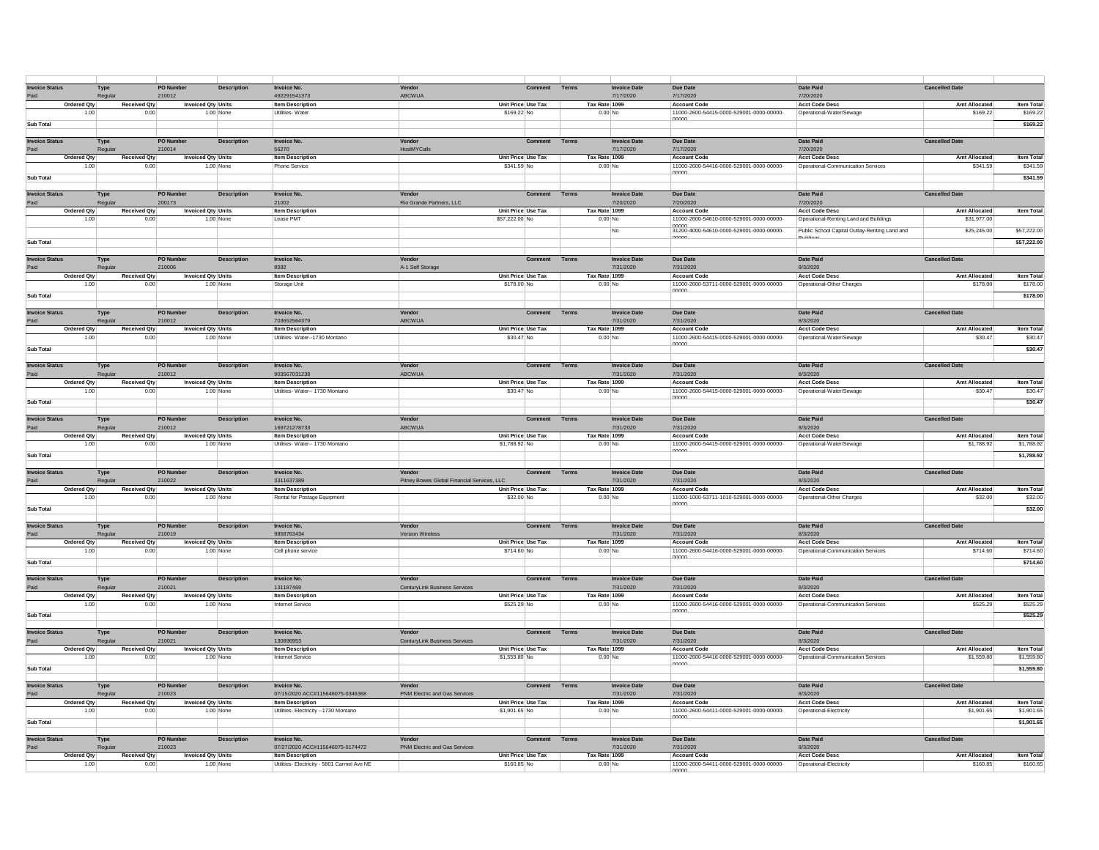| <b>Invoice Status</b> | Type                        | <b>PO Number</b>          | <b>Description</b> | Invoice No.                                           | Vendor                                      | <b>Comment</b> Terms              |       | <b>Invoice Date</b>              | Due Date                                                        | Date Paid                                                   | <b>Cancelled Date</b>            |                               |
|-----------------------|-----------------------------|---------------------------|--------------------|-------------------------------------------------------|---------------------------------------------|-----------------------------------|-------|----------------------------------|-----------------------------------------------------------------|-------------------------------------------------------------|----------------------------------|-------------------------------|
| Paid                  | Regular                     | 210012                    |                    | 492291541373                                          | ABCWUA                                      |                                   |       | 7/17/2020                        | 7/17/2020                                                       | 7/20/2020                                                   |                                  |                               |
| <b>Ordered Qty</b>    | <b>Received Qty</b>         | <b>Invoiced Qty Units</b> |                    | <b>Item Description</b>                               |                                             | Unit Price Use Tax                |       | Tax Rate 1099                    | <b>Account Code</b>                                             | <b>Acct Code Desc</b>                                       | <b>Amt Allocated</b>             | Item Total                    |
| 1.00                  | 0.00                        |                           | 1.00 None          | Utilities- Water                                      |                                             | \$169.22 No                       |       | $0.00$ No                        | 11000-2600-54415-0000-529001-0000-00000-<br>nnnn                | Operational-Water/Sewage                                    | \$169.22                         | \$169.22                      |
| <b>Sub Total</b>      |                             |                           |                    |                                                       |                                             |                                   |       |                                  |                                                                 |                                                             |                                  | \$169.22                      |
| <b>Invoice Status</b> |                             | <b>PO Number</b>          | <b>Description</b> | Invoice No.                                           | Vendor                                      | Comment                           | Terms | <b>Invoice Date</b>              | Due Date                                                        | Date Paid                                                   | <b>Cancelled Date</b>            |                               |
|                       | Type<br>Regular             | 210014                    |                    | 56270                                                 | HostMYCalls                                 |                                   |       | 7/17/2020                        | 7/17/2020                                                       | 7/20/2020                                                   |                                  |                               |
| <b>Ordered Qtv</b>    | <b>Received Qty</b>         | <b>Invoiced Qtv Units</b> |                    | <b>Item Description</b>                               |                                             | Unit Price Use Tax                |       | Tax Rate 1099                    | Account Code                                                    | <b>Acct Code Desc</b>                                       | Amt Allocated                    | <b>Item Tota</b>              |
| 1.00                  | 0.00                        |                           | 1.00 None          | <b>Phone Service</b>                                  |                                             | \$341.59 No                       |       | $0.00$ No                        | 11000-2600-54416-0000-529001-0000-00000-                        | Operational-Communication Services                          | \$341.59                         | \$341.59                      |
| <b>Sub Total</b>      |                             |                           |                    |                                                       |                                             |                                   |       |                                  |                                                                 |                                                             |                                  | \$341.59                      |
|                       |                             |                           |                    |                                                       |                                             |                                   |       |                                  |                                                                 |                                                             |                                  |                               |
| <b>Invoice Status</b> | Type                        | PO Numbe                  | <b>Description</b> | <b>Invoice No</b>                                     | Vendo                                       | Comment                           | Terms | <b>Invoice Date</b>              | <b>Due Date</b>                                                 | <b>Date Paid</b>                                            | <b>Cancelled Date</b>            |                               |
|                       | Regular                     | 200173                    |                    | 21002                                                 | Rio Grande Partners, LLC                    |                                   |       | 7/20/2020                        | 7/20/2020                                                       | 7/20/2020                                                   |                                  |                               |
| <b>Ordered Qty</b>    | <b>Received Qtv</b>         | <b>Invoiced Qty Units</b> |                    | <b>Item Description</b>                               |                                             | Unit Price Use Tax                |       | Tax Rate 1099                    | <b>Account Code</b>                                             | <b>Acct Code Desc</b>                                       | <b>Amt Allocated</b>             | Item Total                    |
| 1.00                  |                             | 0.00                      | 1.00 None          | Lease PMT                                             |                                             | \$57,222.00 No                    |       | $0.00$ No                        | 11000-2600-54610-0000-529001-0000-00000-<br>nnnn                | Operational-Renting Land and Buildings                      | \$31,977.00                      |                               |
|                       |                             |                           |                    |                                                       |                                             |                                   |       | No                               | 31200-4000-54610-0000-529001-0000-00000-                        | Public School Capital Outlay-Renting Land and               | \$25,245.00                      | \$57,222.00                   |
| Sub Total             |                             |                           |                    |                                                       |                                             |                                   |       |                                  | nnnn                                                            | سمحانينا                                                    |                                  | \$57,222.00                   |
|                       |                             |                           |                    |                                                       |                                             |                                   |       |                                  |                                                                 |                                                             |                                  |                               |
| <b>Invoice Status</b> | Type                        | PO Numbe                  | <b>Description</b> | <b>Invoice No</b>                                     | Vende                                       | Comment                           | Terms | <b>Invoice Date</b>              | Due Date                                                        | Date Paid                                                   | <b>Cancelled Date</b>            |                               |
| Paid                  | Regular                     | 210006                    |                    | 8592                                                  | A-1 Self Storage                            |                                   |       | 7/31/2020                        | 7/31/2020                                                       | 8/3/2020                                                    |                                  |                               |
| Ordered Qty<br>1.00   | Received Qty<br>0.00        | <b>Invoiced Qty Units</b> | 1.00 None          | <b>Item Description</b>                               |                                             | Unit Price Use Tax<br>\$178.00 No |       | Tax Rate 1099<br>$0.00$ No       | <b>Account Code</b><br>11000-2600-53711-0000-529001-0000-00000- | <b>Acct Code Desc</b><br>Operational-Other Charges          | <b>Amt Allocated</b><br>\$178.00 | <b>Item Total</b><br>\$178.00 |
|                       |                             |                           |                    | Storage Unit                                          |                                             |                                   |       |                                  | nnnn                                                            |                                                             |                                  |                               |
| <b>Sub Total</b>      |                             |                           |                    |                                                       |                                             |                                   |       |                                  |                                                                 |                                                             |                                  | \$178.00                      |
| <b>Invoice Status</b> | Type                        | PO Numbe                  | <b>Description</b> | <b>Invoice No.</b>                                    | Vendor                                      | Comment                           | Terms | <b>Invoice Date</b>              | Due Date                                                        | <b>Date Paid</b>                                            | <b>Cancelled Date</b>            |                               |
| Paid                  | Regular                     | 210012                    |                    | 703652564379                                          | ABCWUA                                      |                                   |       | 7/31/2020                        | 7/31/2020                                                       | 8/3/2020                                                    |                                  |                               |
| Ordered Qty           | <b>Received Qty</b>         | <b>Invoiced Qty Units</b> |                    | <b>Item Description</b>                               |                                             | Unit Price Use Tax                |       | Tax Rate 1099                    | <b>Account Code</b>                                             | <b>Acct Code Desc</b>                                       | <b>Amt Allocated</b>             | <b>Item Total</b>             |
| 1.00                  | 0.00                        |                           | 1.00 None          | Utilities-Water--1730 Montano                         |                                             | \$30.47 No                        |       | $0.00$ No                        | 11000-2600-54415-0000-529001-0000-00000-                        | Operational-Water/Sewage                                    | \$30.47                          | \$30.47                       |
| Sub Total             |                             |                           |                    |                                                       |                                             |                                   |       |                                  | nnnn                                                            |                                                             |                                  | \$30,47                       |
|                       |                             |                           |                    |                                                       |                                             |                                   |       |                                  |                                                                 |                                                             |                                  |                               |
| <b>Invoice Status</b> | Type                        | PO Numbe                  | <b>Description</b> | <b>Invoice No</b>                                     | Vendo                                       | Comment                           | Terms | <b>Invoice Date</b>              | Due Date                                                        | <b>Date Paid</b>                                            | <b>Cancelled Date</b>            |                               |
| Paid                  | Regular                     | 210012                    |                    | 903567031238                                          | ABCWUA                                      |                                   |       | 7/31/2020                        | 7/31/2020                                                       | 8/3/2020                                                    |                                  |                               |
| Ordered Qty           | <b>Received Qty</b>         | <b>Invoiced Qty Units</b> |                    | <b>Item Description</b>                               |                                             | Unit Price Use Tax                |       | Tax Rate 1099                    | Account Code                                                    | <b>Acct Code Desc</b>                                       | <b>Amt Allocated</b>             | <b>Item Tota</b>              |
| 1.00                  | 0.00                        |                           | 1.00 None          | Utilities- Water-- 1730 Montano                       |                                             | \$30.47 No                        |       | $0.00$ No                        | 11000-2600-54415-0000-529001-0000-00000-                        | Operational-Water/Sewage                                    | \$30.47                          | \$30.47                       |
| Sub Total             |                             |                           |                    |                                                       |                                             |                                   |       |                                  |                                                                 |                                                             |                                  | \$30.47                       |
| <b>Invoice Status</b> | Type                        | PO Numbe                  | <b>Description</b> | <b>Invoice No</b>                                     | Vendo                                       | Comment                           | Terms | <b>Invoice Date</b>              | <b>Due Date</b>                                                 | Date Paid                                                   | <b>Cancelled Date</b>            |                               |
|                       | Regular                     | 210012                    |                    | 169721278733                                          | ABCWUA                                      |                                   |       | 7/31/2020                        | 7/31/2020                                                       | 8/3/2020                                                    |                                  |                               |
| <b>Ordered Qtv</b>    | Received Qtv                | <b>Invoiced Qty Units</b> |                    | <b>Item Description</b>                               |                                             | Unit Price Use Tax                |       | Tax Rate 1099                    | <b>Account Code</b>                                             | <b>Acct Code Desc</b>                                       | <b>Amt Allocated</b>             | <b>Item Tota</b>              |
| 1.00                  | 0.00                        |                           | 1.00 None          | Utilities- Water-- 1730 Montano                       |                                             | \$1,788.92 No                     |       | $0.00$ No                        | 11000-2600-54415-0000-529001-0000-00000-                        | Operational-Water/Sewage                                    | \$1,788.92                       | \$1,788.92                    |
| <b>Sub Total</b>      |                             |                           |                    |                                                       |                                             |                                   |       |                                  | nnnn                                                            |                                                             |                                  | \$1,788.92                    |
|                       |                             |                           |                    |                                                       |                                             |                                   |       |                                  |                                                                 |                                                             |                                  |                               |
| <b>Invoice Status</b> | Type                        | PO Numbe                  | <b>Description</b> | Invoice No.                                           | Vendo                                       | Comment                           | Terms | <b>Invoice Date</b>              | Due Date                                                        | Date Paid                                                   | <b>Cancelled Date</b>            |                               |
| Paid                  | Regular                     | 210022                    |                    | 3311637389                                            | Pitney Bowes Global Financial Services, LLC |                                   |       | 7/31/2020                        | 7/31/2020                                                       | 8/3/2020                                                    |                                  |                               |
| Ordered Qtv           | Received Qtv                | <b>Invoiced Qtv Units</b> |                    | <b>Item Description</b>                               |                                             | Unit Price Use Tax                |       | Tax Rate 1099                    | <b>Account Code</b>                                             | <b>Acct Code Desc</b>                                       | <b>Amt Allocated</b>             | <b>Item Total</b>             |
| 1.00                  | 0.00                        |                           | 1.00 None          | Rental for Postage Equipment                          |                                             | \$32.00 No                        |       | $0.00$ No                        | 11000-1000-53711-1010-529001-0000-00000-<br>nnnn                | Operational-Other Charges                                   | \$32.00                          | \$32.00                       |
| <b>Sub Total</b>      |                             |                           |                    |                                                       |                                             |                                   |       |                                  |                                                                 |                                                             |                                  | \$32.00                       |
| <b>Invoice Status</b> |                             | PO Numbe                  | <b>Description</b> | <b>Invoice No</b>                                     | Vendo                                       | Comment                           | Terms | <b>Invoice Date</b>              | Due Date                                                        | Date Paid                                                   | <b>Cancelled Date</b>            |                               |
| Paid                  | Type<br>Regular             | 210019                    |                    | 9858763434                                            | Verizon Wireless                            |                                   |       | 7/31/2020                        | 7/31/2020                                                       | 8/3/2020                                                    |                                  |                               |
| Ordered Qty           | <b>Received Qty</b>         | <b>Invoiced Qty Units</b> |                    | <b>Item Description</b>                               |                                             | Unit Price Use Tax                |       | Tax Rate 1099                    | <b>Account Code</b>                                             | <b>Acct Code Desc</b>                                       | <b>Amt Allocated</b>             | Item Total                    |
| 1.00                  | 0.00                        |                           | 1.00 None          | Cell phone service                                    |                                             | \$714.60 No                       |       | $0.00$ No                        | 11000-2600-54416-0000-529001-0000-00000-                        | Operational-Communication Services                          | \$714.60                         | \$714.60                      |
| <b>Sub Total</b>      |                             |                           |                    |                                                       |                                             |                                   |       |                                  | nnnn                                                            |                                                             |                                  | \$714.60                      |
|                       |                             |                           |                    |                                                       |                                             |                                   |       |                                  |                                                                 |                                                             |                                  |                               |
| <b>Invoice Status</b> | Type                        | <b>PO Number</b>          | <b>Description</b> | Invoice No.                                           | Vendor                                      | Comment                           | Terms | <b>Invoice Date</b>              | Due Date                                                        | Date Paid                                                   | <b>Cancelled Date</b>            |                               |
| Paid                  | Regular                     | 210021                    |                    | 131187469                                             | CenturyLink Business Services               |                                   |       | 7/31/2020                        | 7/31/2020                                                       | 8/3/2020                                                    | Amt Allocated                    |                               |
| Ordered Qty<br>1.00   | <b>Received Qty</b><br>0.00 | <b>Invoiced Qty Units</b> | 1.00 None          | <b>Item Description</b><br><b>Internet Service</b>    |                                             | Unit Price Use Tax<br>\$525.29 No |       | Tax Rate 1099<br>$0.00$ No       | <b>Account Code</b><br>11000-2600-54416-0000-529001-0000-00000- | <b>Acct Code Desc</b><br>Operational-Communication Services | \$525.29                         | <b>Item Tota</b><br>\$525.29  |
|                       |                             |                           |                    |                                                       |                                             |                                   |       |                                  | nnnn                                                            |                                                             |                                  |                               |
| <b>Sub Total</b>      |                             |                           |                    |                                                       |                                             |                                   |       |                                  |                                                                 |                                                             |                                  | \$525.29                      |
| <b>Invoice Status</b> | Type                        | PO Numbe                  | <b>Description</b> | <b>Invoice No</b>                                     | Vendo                                       | Comment                           | Terms | <b>Invoice Date</b>              | Due Date                                                        | Date Paid                                                   | <b>Cancelled Date</b>            |                               |
| Paid                  | Regular                     | 210021                    |                    | 130896953                                             | CenturyLink Business Services               |                                   |       | 7/31/2020                        | 7/31/2020                                                       | 8/3/2020                                                    |                                  |                               |
| Ordered Qty           | <b>Received Qty</b>         | <b>Invoiced Qty Units</b> |                    | <b>Item Description</b>                               |                                             | Unit Price Use Tax                |       | Tax Rate 1099                    | <b>Account Code</b>                                             | <b>Acct Code Desc</b>                                       | <b>Amt Allocated</b>             | Item Tota                     |
| 1.00                  | 0.00                        |                           | 1.00 None          | <b>Internet Service</b>                               |                                             | \$1,559.80 No                     |       | $0.00$ No                        | 11000-2600-54416-0000-529001-0000-00000-                        | Operational-Communication Services                          | \$1,559.80                       | \$1,559.80                    |
| Sub Total             |                             |                           |                    |                                                       |                                             |                                   |       |                                  | mnnn                                                            |                                                             |                                  | \$1,559.80                    |
|                       |                             |                           |                    |                                                       |                                             |                                   |       |                                  |                                                                 |                                                             |                                  |                               |
| <b>Invoice Status</b> | Type                        | PO Number                 | <b>Description</b> | <b>Invoice No.</b>                                    | Vendor                                      | <b>Comment</b> Terms              |       | <b>Invoice Date</b>              | Due Date                                                        | Date Paid                                                   | <b>Cancelled Date</b>            |                               |
|                       | Regular                     | 210023                    |                    | 07/15/2020 ACC#115646075-0346368                      | PNM Electric and Gas Services               |                                   |       | 7/31/2020                        | 7/31/2020                                                       | 8/3/2020                                                    |                                  |                               |
| <b>Ordered Qtv</b>    | Received Qtv                | <b>Invoiced Qtv Units</b> |                    | <b>Item Description</b>                               |                                             | Unit Price Use Tax                |       | Tax Rate 1099                    | <b>Account Code</b>                                             | <b>Acct Code Desc</b>                                       | <b>Amt Allocated</b>             | <b>Item Total</b>             |
| 1.00                  | 0.00                        |                           | 1.00 None          | Utilities- Electricity --1730 Montano                 |                                             | \$1,901.65 No                     |       | $0.00$ No                        | 11000-2600-54411-0000-529001-0000-00000-<br>nnnn                | Operational-Electricity                                     | \$1,901.65                       | \$1,901.65                    |
| <b>Sub Total</b>      |                             |                           |                    |                                                       |                                             |                                   |       |                                  |                                                                 |                                                             |                                  | \$1,901.65                    |
|                       |                             |                           |                    |                                                       |                                             |                                   |       |                                  |                                                                 |                                                             |                                  |                               |
| <b>Invoice Status</b> | Type<br>Regular             | PO Numbe<br>210023        | <b>Description</b> | <b>Invoice No</b><br>07/27/2020 ACC#115646075-0174472 | Vendo<br>PNM Electric and Gas Services      | Comment                           | Terms | <b>Invoice Date</b><br>7/31/2020 | Due Date<br>7/31/2020                                           | Date Paid<br>8/3/2020                                       | <b>Cancelled Date</b>            |                               |
| Ordered Qtv           | Received Qtv                | <b>Invoiced Qtv Units</b> |                    | <b>Item Description</b>                               |                                             | Unit Price Use Tax                |       | Tax Rate 1099                    | Account Code                                                    | Acct Code Desc                                              | <b>Amt Allocated</b>             | <b>Item Total</b>             |
| 1.00                  | 0.00                        |                           | 1.00 None          | Utilities- Electricity - 5801 Carmel Ave NE           |                                             | \$160.85 No                       |       | $0.00$ No                        | 11000-2600-54411-0000-529001-0000-00000-                        | Operational-Electricity                                     | \$160.85                         | \$160.85                      |
|                       |                             |                           |                    |                                                       |                                             |                                   |       |                                  | nnnnn                                                           |                                                             |                                  |                               |